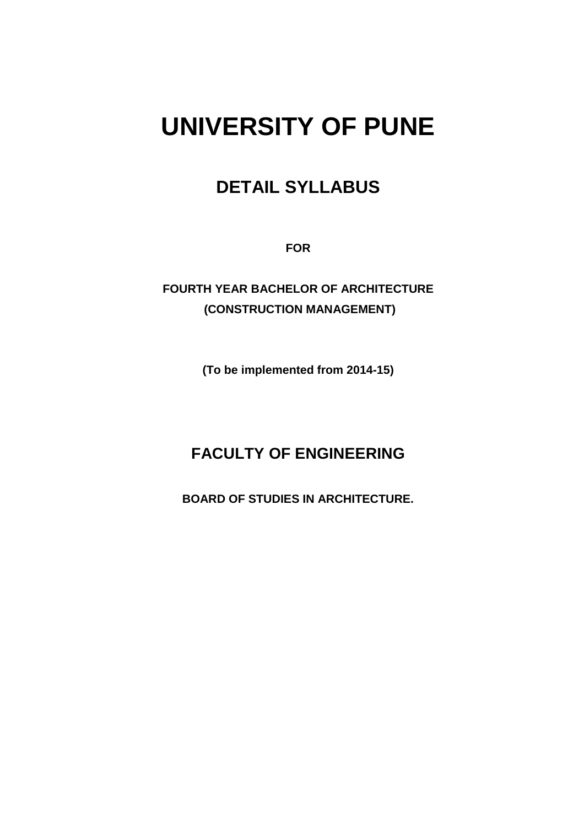# **UNIVERSITY OF PUNE**

# **DETAIL SYLLABUS**

**FOR** 

**FOURTH YEAR BACHELOR OF ARCHITECTURE (CONSTRUCTION MANAGEMENT)** 

**(To be implemented from 2014-15)** 

# **FACULTY OF ENGINEERING**

**BOARD OF STUDIES IN ARCHITECTURE.**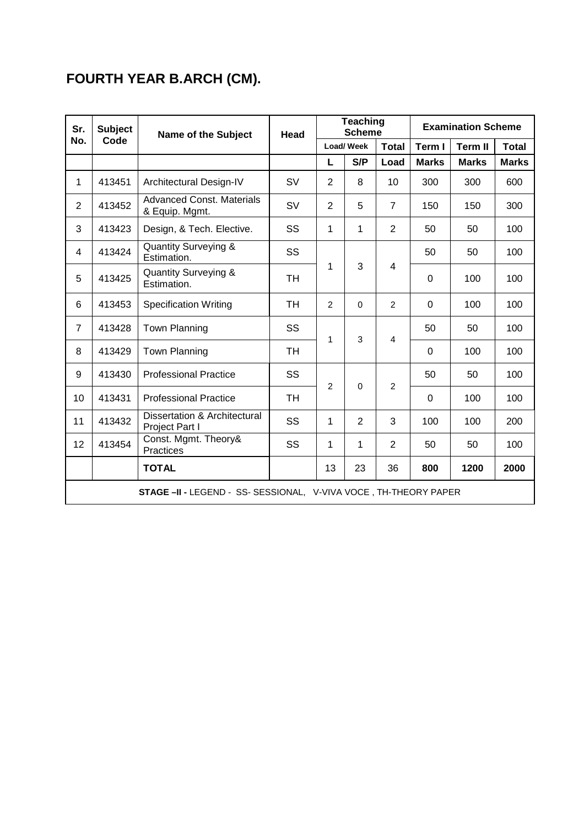# **FOURTH YEAR B.ARCH (CM).**

| Sr.            | <b>Subject</b>                                                          | <b>Name of the Subject</b>                         |                     |                          | <b>Teaching</b><br><b>Scheme</b> |                | <b>Examination Scheme</b> |                |              |
|----------------|-------------------------------------------------------------------------|----------------------------------------------------|---------------------|--------------------------|----------------------------------|----------------|---------------------------|----------------|--------------|
| No.            | Code                                                                    |                                                    |                     | <b>Load/Week</b>         |                                  | <b>Total</b>   | Term I                    | <b>Term II</b> | <b>Total</b> |
|                |                                                                         |                                                    |                     | L                        | S/P                              | Load           | <b>Marks</b>              | <b>Marks</b>   | <b>Marks</b> |
| 1              | 413451                                                                  | Architectural Design-IV                            | <b>SV</b>           | $\overline{2}$           | 8                                | 10             | 300                       | 300            | 600          |
| $\overline{2}$ | 413452                                                                  | <b>Advanced Const. Materials</b><br>& Equip. Mgmt. | <b>SV</b>           | $\overline{2}$           | 5                                | $\overline{7}$ | 150                       | 150            | 300          |
| 3              | 413423                                                                  | Design, & Tech. Elective.                          | SS                  | 1                        | 1                                | $\overline{2}$ | 50                        | 50             | 100          |
| 4              | 413424                                                                  | <b>Quantity Surveying &amp;</b><br>Estimation.     | SS                  |                          |                                  |                | 50                        | 50             | 100          |
| 5              | 413425                                                                  | <b>Quantity Surveying &amp;</b><br>Estimation.     | 3<br>1<br><b>TH</b> |                          | 4                                | 0              | 100                       | 100            |              |
| 6              | 413453                                                                  | <b>Specification Writing</b>                       | <b>TH</b>           | $\overline{2}$           | $\Omega$                         | $\overline{2}$ | $\Omega$                  | 100            | 100          |
| $\overline{7}$ | 413428                                                                  | Town Planning                                      | SS                  |                          |                                  |                | 50                        | 50             | 100          |
| 8              | 413429                                                                  | <b>Town Planning</b>                               | <b>TH</b>           | 3<br>1<br>$\overline{4}$ |                                  | $\Omega$       | 100                       | 100            |              |
| 9              | 413430                                                                  | <b>Professional Practice</b>                       | SS                  | $\overline{2}$           | $\Omega$                         | $\overline{c}$ | 50                        | 50             | 100          |
| 10             | 413431                                                                  | <b>Professional Practice</b>                       | <b>TH</b>           |                          |                                  |                | 0                         | 100            | 100          |
| 11             | 413432                                                                  | Dissertation & Architectural<br>Project Part I     | SS                  | 1                        | $\overline{2}$                   | 3              | 100                       | 100            | 200          |
| 12             | 413454                                                                  | Const. Mgmt. Theory&<br>Practices                  | SS                  | 1                        | 1                                | $\overline{2}$ | 50                        | 50             | 100          |
|                |                                                                         | <b>TOTAL</b>                                       |                     | 13                       | 23                               | 36             | 800                       | 1200           | 2000         |
|                | <b>STAGE -II - LEGEND - SS- SESSIONAL, V-VIVA VOCE, TH-THEORY PAPER</b> |                                                    |                     |                          |                                  |                |                           |                |              |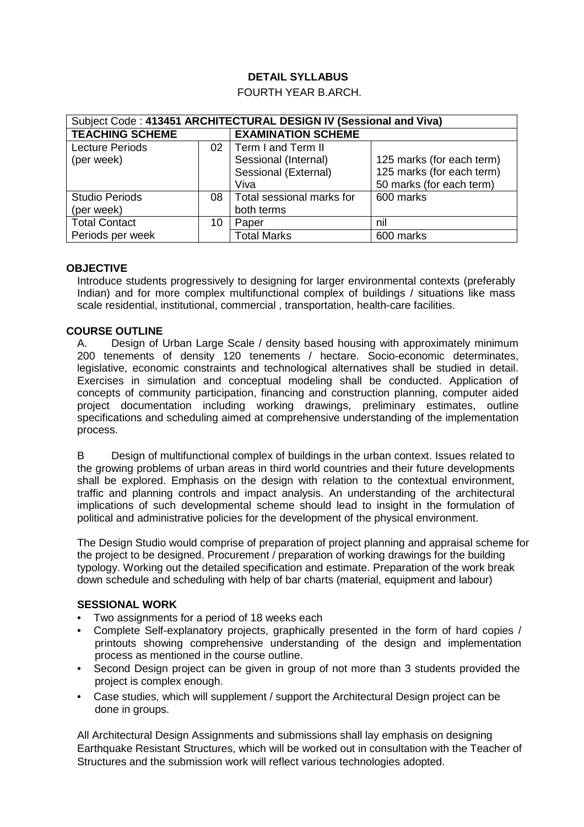# **DETAIL SYLLABUS**

#### FOURTH YEAR B.ARCH.

| Subject Code: 413451 ARCHITECTURAL DESIGN IV (Sessional and Viva) |                 |                           |                           |
|-------------------------------------------------------------------|-----------------|---------------------------|---------------------------|
| <b>TEACHING SCHEME</b>                                            |                 | <b>EXAMINATION SCHEME</b> |                           |
| <b>Lecture Periods</b>                                            | 02 <sub>1</sub> | Term I and Term II        |                           |
| (per week)                                                        |                 | Sessional (Internal)      | 125 marks (for each term) |
|                                                                   |                 | Sessional (External)      | 125 marks (for each term) |
|                                                                   |                 | Viva                      | 50 marks (for each term)  |
| <b>Studio Periods</b>                                             | 08              | Total sessional marks for | 600 marks                 |
| (per week)                                                        |                 | both terms                |                           |
| <b>Total Contact</b>                                              | 10              | Paper                     | nil                       |
| Periods per week                                                  |                 | <b>Total Marks</b>        | 600 marks                 |

#### **OBJECTIVE**

Introduce students progressively to designing for larger environmental contexts (preferably Indian) and for more complex multifunctional complex of buildings / situations like mass scale residential, institutional, commercial , transportation, health-care facilities.

#### **COURSE OUTLINE**

A. Design of Urban Large Scale / density based housing with approximately minimum 200 tenements of density 120 tenements / hectare. Socio-economic determinates, legislative, economic constraints and technological alternatives shall be studied in detail. Exercises in simulation and conceptual modeling shall be conducted. Application of concepts of community participation, financing and construction planning, computer aided project documentation including working drawings, preliminary estimates, outline specifications and scheduling aimed at comprehensive understanding of the implementation process.

B Design of multifunctional complex of buildings in the urban context. Issues related to the growing problems of urban areas in third world countries and their future developments shall be explored. Emphasis on the design with relation to the contextual environment, traffic and planning controls and impact analysis. An understanding of the architectural implications of such developmental scheme should lead to insight in the formulation of political and administrative policies for the development of the physical environment.

The Design Studio would comprise of preparation of project planning and appraisal scheme for the project to be designed. Procurement / preparation of working drawings for the building typology. Working out the detailed specification and estimate. Preparation of the work break down schedule and scheduling with help of bar charts (material, equipment and labour)

#### **SESSIONAL WORK**

- Two assignments for a period of 18 weeks each
- Complete Self-explanatory projects, graphically presented in the form of hard copies / printouts showing comprehensive understanding of the design and implementation process as mentioned in the course outline.
- Second Design project can be given in group of not more than 3 students provided the project is complex enough.
- Case studies, which will supplement / support the Architectural Design project can be done in groups.

All Architectural Design Assignments and submissions shall lay emphasis on designing Earthquake Resistant Structures, which will be worked out in consultation with the Teacher of Structures and the submission work will reflect various technologies adopted.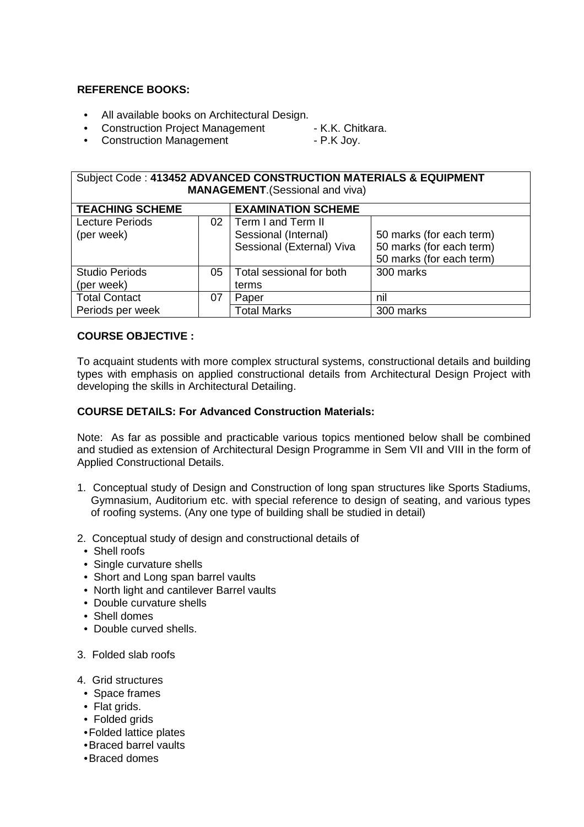#### **REFERENCE BOOKS:**

- All available books on Architectural Design.
- Construction Project Management K.K. Chitkara.
- Construction Management P.K Joy.

#### Subject Code : **413452 ADVANCED CONSTRUCTION MATERIALS & EQUIPMENT MANAGEMENT**.(Sessional and viva)

| <b>TEACHING SCHEME</b>               |    | <b>EXAMINATION SCHEME</b>                                               |                                                                                  |
|--------------------------------------|----|-------------------------------------------------------------------------|----------------------------------------------------------------------------------|
| <b>Lecture Periods</b><br>(per week) | 02 | Term I and Term II<br>Sessional (Internal)<br>Sessional (External) Viva | 50 marks (for each term)<br>50 marks (for each term)<br>50 marks (for each term) |
| <b>Studio Periods</b><br>(per week)  | 05 | Total sessional for both<br>terms                                       | 300 marks                                                                        |
| <b>Total Contact</b>                 | 07 | Paper                                                                   | nil                                                                              |
| Periods per week                     |    | <b>Total Marks</b>                                                      | 300 marks                                                                        |

#### **COURSE OBJECTIVE :**

To acquaint students with more complex structural systems, constructional details and building types with emphasis on applied constructional details from Architectural Design Project with developing the skills in Architectural Detailing.

#### **COURSE DETAILS: For Advanced Construction Materials:**

Note: As far as possible and practicable various topics mentioned below shall be combined and studied as extension of Architectural Design Programme in Sem VII and VIII in the form of Applied Constructional Details.

- 1. Conceptual study of Design and Construction of long span structures like Sports Stadiums, Gymnasium, Auditorium etc. with special reference to design of seating, and various types of roofing systems. (Any one type of building shall be studied in detail)
- 2. Conceptual study of design and constructional details of
	- Shell roofs
	- Single curvature shells
	- Short and Long span barrel vaults
	- North light and cantilever Barrel vaults
	- Double curvature shells
	- Shell domes
	- Double curved shells.
- 3. Folded slab roofs
- 4. Grid structures
	- Space frames
	- Flat grids.
	- Folded grids
	- Folded lattice plates
	- Braced barrel vaults
	- Braced domes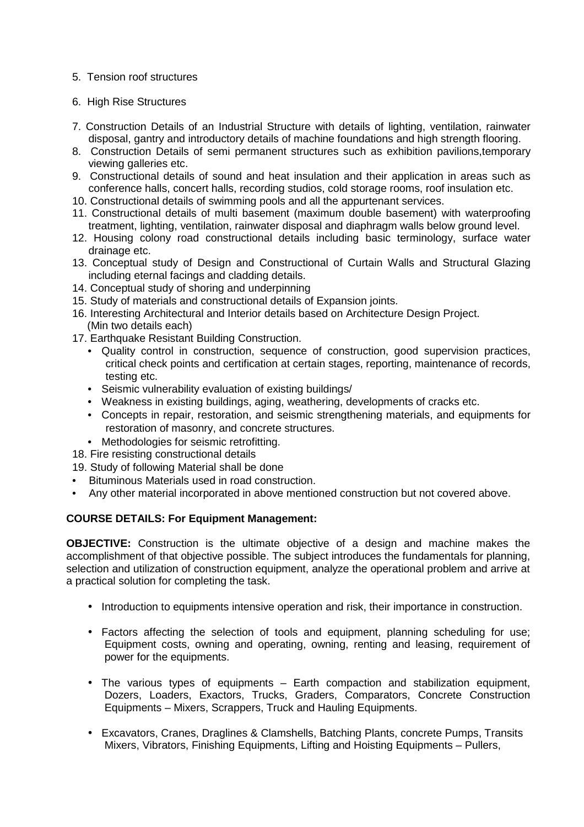#### 5. Tension roof structures

#### 6. High Rise Structures

- 7. Construction Details of an Industrial Structure with details of lighting, ventilation, rainwater disposal, gantry and introductory details of machine foundations and high strength flooring.
- 8. Construction Details of semi permanent structures such as exhibition pavilions,temporary viewing galleries etc.
- 9. Constructional details of sound and heat insulation and their application in areas such as conference halls, concert halls, recording studios, cold storage rooms, roof insulation etc.
- 10. Constructional details of swimming pools and all the appurtenant services.
- 11. Constructional details of multi basement (maximum double basement) with waterproofing treatment, lighting, ventilation, rainwater disposal and diaphragm walls below ground level.
- 12. Housing colony road constructional details including basic terminology, surface water drainage etc.
- 13. Conceptual study of Design and Constructional of Curtain Walls and Structural Glazing including eternal facings and cladding details.
- 14. Conceptual study of shoring and underpinning
- 15. Study of materials and constructional details of Expansion joints.
- 16. Interesting Architectural and Interior details based on Architecture Design Project. (Min two details each)
- 17. Earthquake Resistant Building Construction.
	- Quality control in construction, sequence of construction, good supervision practices, critical check points and certification at certain stages, reporting, maintenance of records, testing etc.
	- Seismic vulnerability evaluation of existing buildings/
	- Weakness in existing buildings, aging, weathering, developments of cracks etc.
	- Concepts in repair, restoration, and seismic strengthening materials, and equipments for restoration of masonry, and concrete structures.
	- Methodologies for seismic retrofitting.
- 18. Fire resisting constructional details
- 19. Study of following Material shall be done
- Bituminous Materials used in road construction.
- Any other material incorporated in above mentioned construction but not covered above.

# **COURSE DETAILS: For Equipment Management:**

**OBJECTIVE:** Construction is the ultimate objective of a design and machine makes the accomplishment of that objective possible. The subject introduces the fundamentals for planning, selection and utilization of construction equipment, analyze the operational problem and arrive at a practical solution for completing the task.

- Introduction to equipments intensive operation and risk, their importance in construction.
- Factors affecting the selection of tools and equipment, planning scheduling for use; Equipment costs, owning and operating, owning, renting and leasing, requirement of power for the equipments.
- The various types of equipments Earth compaction and stabilization equipment, Dozers, Loaders, Exactors, Trucks, Graders, Comparators, Concrete Construction Equipments – Mixers, Scrappers, Truck and Hauling Equipments.
- Excavators, Cranes, Draglines & Clamshells, Batching Plants, concrete Pumps, Transits Mixers, Vibrators, Finishing Equipments, Lifting and Hoisting Equipments – Pullers,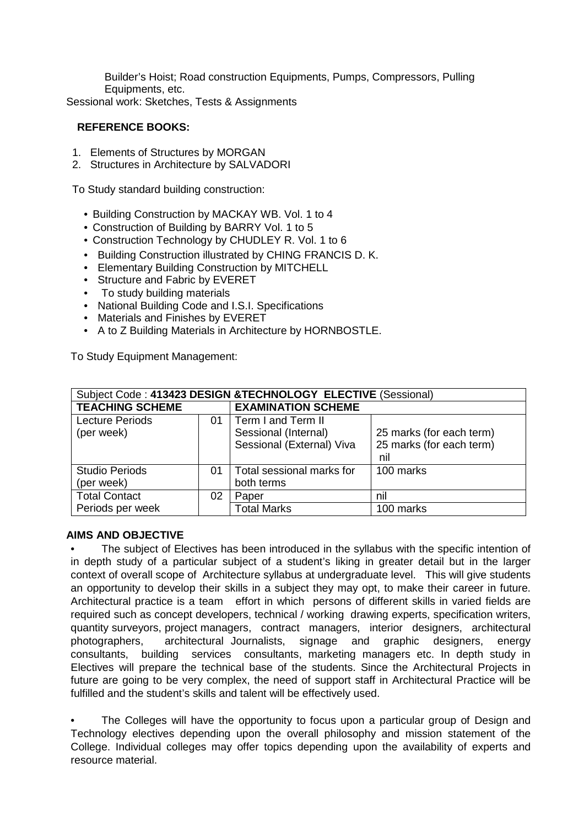Builder's Hoist; Road construction Equipments, Pumps, Compressors, Pulling Equipments, etc.

Sessional work: Sketches, Tests & Assignments

#### **REFERENCE BOOKS:**

- 1. Elements of Structures by MORGAN
- 2. Structures in Architecture by SALVADORI

To Study standard building construction:

- Building Construction by MACKAY WB. Vol. 1 to 4
- Construction of Building by BARRY Vol. 1 to 5
- Construction Technology by CHUDLEY R. Vol. 1 to 6
- Building Construction illustrated by CHING FRANCIS D. K.
- Elementary Building Construction by MITCHELL
- Structure and Fabric by EVERET
- To study building materials
- National Building Code and I.S.I. Specifications
- Materials and Finishes by EVERET
- A to Z Building Materials in Architecture by HORNBOSTLE.

To Study Equipment Management:

| Subject Code: 413423 DESIGN & TECHNOLOGY ELECTIVE (Sessional) |    |                           |                          |  |
|---------------------------------------------------------------|----|---------------------------|--------------------------|--|
| <b>TEACHING SCHEME</b>                                        |    | <b>EXAMINATION SCHEME</b> |                          |  |
| <b>Lecture Periods</b>                                        | 01 | Term I and Term II        |                          |  |
| (per week)                                                    |    | Sessional (Internal)      | 25 marks (for each term) |  |
|                                                               |    | Sessional (External) Viva | 25 marks (for each term) |  |
|                                                               |    |                           | nil                      |  |
| <b>Studio Periods</b>                                         | 01 | Total sessional marks for | 100 marks                |  |
| (per week)                                                    |    | both terms                |                          |  |
| <b>Total Contact</b>                                          | 02 | Paper                     | nil                      |  |
| Periods per week                                              |    | <b>Total Marks</b>        | 100 marks                |  |

#### **AIMS AND OBJECTIVE**

The subject of Electives has been introduced in the syllabus with the specific intention of in depth study of a particular subject of a student's liking in greater detail but in the larger context of overall scope of Architecture syllabus at undergraduate level. This will give students an opportunity to develop their skills in a subject they may opt, to make their career in future. Architectural practice is a team effort in which persons of different skills in varied fields are required such as concept developers, technical / working drawing experts, specification writers, quantity surveyors, project managers, contract managers, interior designers, architectural photographers, architectural Journalists, signage and graphic designers, energy consultants, building services consultants, marketing managers etc. In depth study in Electives will prepare the technical base of the students. Since the Architectural Projects in future are going to be very complex, the need of support staff in Architectural Practice will be fulfilled and the student's skills and talent will be effectively used.

The Colleges will have the opportunity to focus upon a particular group of Design and Technology electives depending upon the overall philosophy and mission statement of the College. Individual colleges may offer topics depending upon the availability of experts and resource material.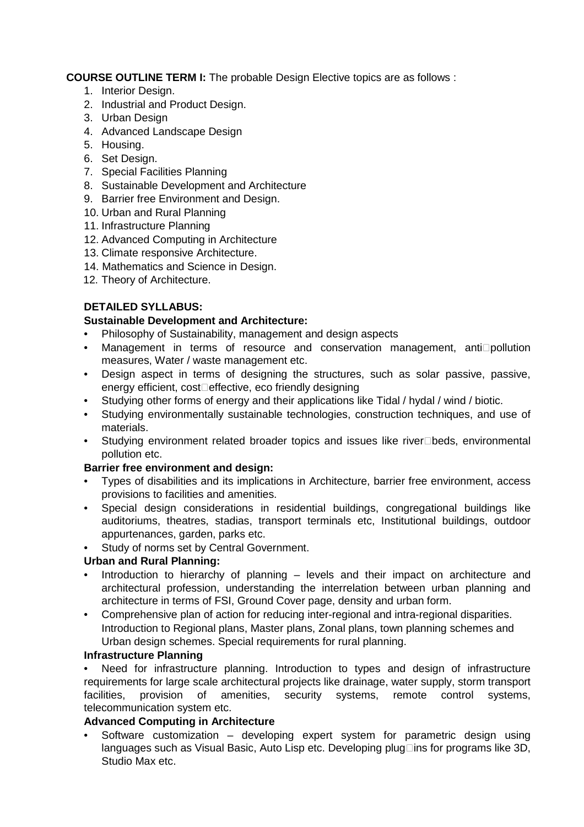**COURSE OUTLINE TERM I:** The probable Design Elective topics are as follows :

- 1. Interior Design.
- 2. Industrial and Product Design.
- 3. Urban Design
- 4. Advanced Landscape Design
- 5. Housing.
- 6. Set Design.
- 7. Special Facilities Planning
- 8. Sustainable Development and Architecture
- 9. Barrier free Environment and Design.
- 10. Urban and Rural Planning
- 11. Infrastructure Planning
- 12. Advanced Computing in Architecture
- 13. Climate responsive Architecture.
- 14. Mathematics and Science in Design.
- 12. Theory of Architecture.

#### **DETAILED SYLLABUS:**

#### **Sustainable Development and Architecture:**

- Philosophy of Sustainability, management and design aspects
- Management in terms of resource and conservation management, anti pollution measures, Water / waste management etc.
- Design aspect in terms of designing the structures, such as solar passive, passive, energy efficient, cost effective, eco friendly designing
- Studying other forms of energy and their applications like Tidal / hydal / wind / biotic.
- Studying environmentally sustainable technologies, construction techniques, and use of materials.
- Studying environment related broader topics and issues like river beds, environmental pollution etc.

#### **Barrier free environment and design:**

- Types of disabilities and its implications in Architecture, barrier free environment, access provisions to facilities and amenities.
- Special design considerations in residential buildings, congregational buildings like auditoriums, theatres, stadias, transport terminals etc, Institutional buildings, outdoor appurtenances, garden, parks etc.
- Study of norms set by Central Government.

# **Urban and Rural Planning:**

- Introduction to hierarchy of planning levels and their impact on architecture and architectural profession, understanding the interrelation between urban planning and architecture in terms of FSI, Ground Cover page, density and urban form.
- Comprehensive plan of action for reducing inter-regional and intra-regional disparities. Introduction to Regional plans, Master plans, Zonal plans, town planning schemes and Urban design schemes. Special requirements for rural planning.

#### **Infrastructure Planning**

Need for infrastructure planning. Introduction to types and design of infrastructure requirements for large scale architectural projects like drainage, water supply, storm transport facilities, provision of amenities, security systems, remote control systems, telecommunication system etc.

#### **Advanced Computing in Architecture**

• Software customization – developing expert system for parametric design using languages such as Visual Basic, Auto Lisp etc. Developing plug ins for programs like 3D, Studio Max etc.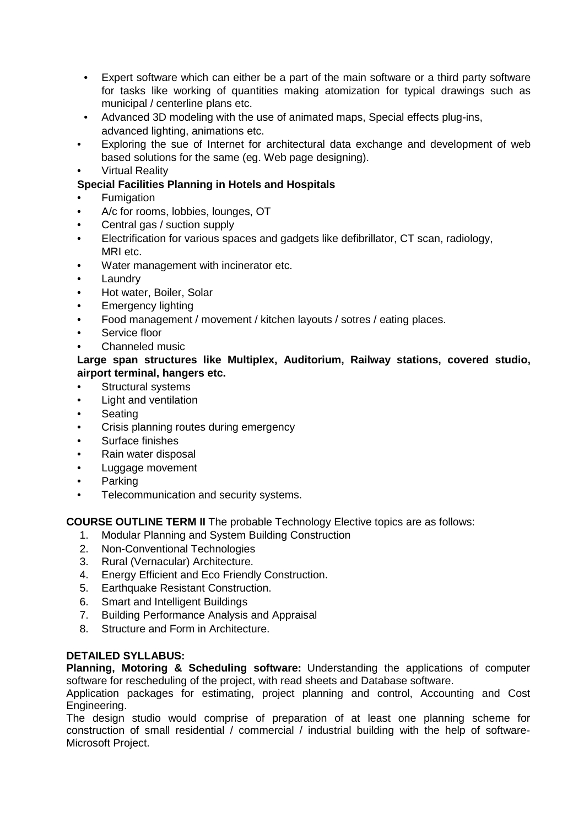- Expert software which can either be a part of the main software or a third party software for tasks like working of quantities making atomization for typical drawings such as municipal / centerline plans etc.
- Advanced 3D modeling with the use of animated maps, Special effects plug-ins, advanced lighting, animations etc.
- Exploring the sue of Internet for architectural data exchange and development of web based solutions for the same (eg. Web page designing).
- Virtual Reality

# **Special Facilities Planning in Hotels and Hospitals**

- **Fumigation**
- A/c for rooms, lobbies, lounges, OT
- Central gas / suction supply
- Electrification for various spaces and gadgets like defibrillator, CT scan, radiology, MRI etc.
- Water management with incinerator etc.
- **Laundry**
- Hot water, Boiler, Solar
- Emergency lighting
- Food management / movement / kitchen layouts / sotres / eating places.
- Service floor
- Channeled music

#### **Large span structures like Multiplex, Auditorium, Railway stations, covered studio, airport terminal, hangers etc.**

- Structural systems
- Light and ventilation
- Seating
- Crisis planning routes during emergency
- Surface finishes
- Rain water disposal
- Luggage movement
- Parking
- Telecommunication and security systems.

**COURSE OUTLINE TERM II** The probable Technology Elective topics are as follows:

- 1. Modular Planning and System Building Construction
- 2. Non-Conventional Technologies
- 3. Rural (Vernacular) Architecture.
- 4. Energy Efficient and Eco Friendly Construction.
- 5. Earthquake Resistant Construction.
- 6. Smart and Intelligent Buildings
- 7. Building Performance Analysis and Appraisal
- 8. Structure and Form in Architecture.

#### **DETAILED SYLLABUS:**

**Planning, Motoring & Scheduling software:** Understanding the applications of computer software for rescheduling of the project, with read sheets and Database software.

Application packages for estimating, project planning and control, Accounting and Cost Engineering.

The design studio would comprise of preparation of at least one planning scheme for construction of small residential / commercial / industrial building with the help of software-Microsoft Project.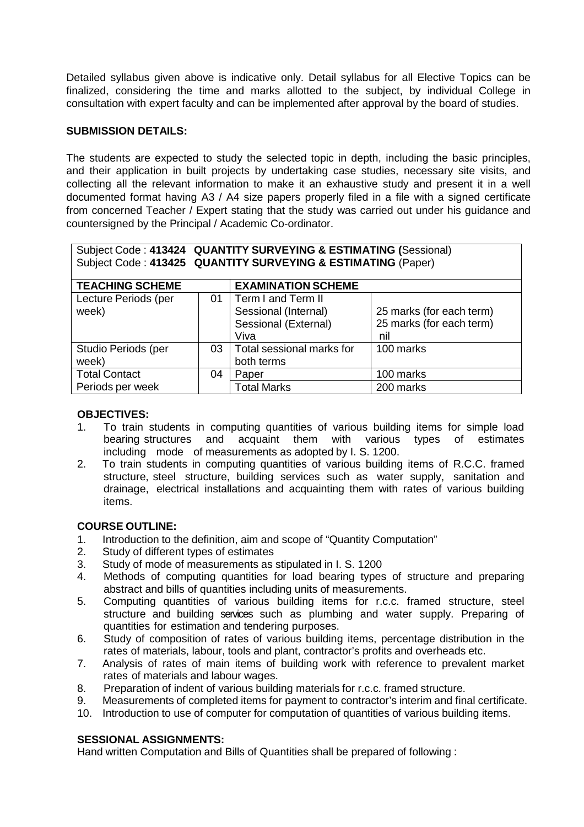Detailed syllabus given above is indicative only. Detail syllabus for all Elective Topics can be finalized, considering the time and marks allotted to the subject, by individual College in consultation with expert faculty and can be implemented after approval by the board of studies.

#### **SUBMISSION DETAILS:**

The students are expected to study the selected topic in depth, including the basic principles, and their application in built projects by undertaking case studies, necessary site visits, and collecting all the relevant information to make it an exhaustive study and present it in a well documented format having A3 / A4 size papers properly filed in a file with a signed certificate from concerned Teacher / Expert stating that the study was carried out under his guidance and countersigned by the Principal / Academic Co-ordinator.

#### Subject Code : **413424 QUANTITY SURVEYING & ESTIMATING (**Sessional) Subject Code : **413425 QUANTITY SURVEYING & ESTIMATING** (Paper)

| <b>TEACHING SCHEME</b> |    | <b>EXAMINATION SCHEME</b> |                          |
|------------------------|----|---------------------------|--------------------------|
| Lecture Periods (per   | 01 | Term I and Term II        |                          |
| week)                  |    | Sessional (Internal)      | 25 marks (for each term) |
|                        |    | Sessional (External)      | 25 marks (for each term) |
|                        |    | Viva                      | nil                      |
| Studio Periods (per    | 03 | Total sessional marks for | 100 marks                |
| week)                  |    | both terms                |                          |
| <b>Total Contact</b>   | 04 | Paper                     | 100 marks                |
| Periods per week       |    | <b>Total Marks</b>        | 200 marks                |

#### **OBJECTIVES:**

- 1. To train students in computing quantities of various building items for simple load bearing structures and acquaint them with various types of estimates including mode of measurements as adopted by I. S. 1200.
- 2. To train students in computing quantities of various building items of R.C.C. framed structure, steel structure, building services such as water supply, sanitation and drainage, electrical installations and acquainting them with rates of various building items.

#### **COURSE OUTLINE:**

- 1. Introduction to the definition, aim and scope of "Quantity Computation"
- 2. Study of different types of estimates
- 3. Study of mode of measurements as stipulated in I. S. 1200
- 4. Methods of computing quantities for load bearing types of structure and preparing abstract and bills of quantities including units of measurements.
- 5. Computing quantities of various building items for r.c.c. framed structure, steel structure and building services such as plumbing and water supply. Preparing of quantities for estimation and tendering purposes.
- 6. Study of composition of rates of various building items, percentage distribution in the rates of materials, labour, tools and plant, contractor's profits and overheads etc.
- 7. Analysis of rates of main items of building work with reference to prevalent market rates of materials and labour wages.
- 8. Preparation of indent of various building materials for r.c.c. framed structure.
- 9. Measurements of completed items for payment to contractor's interim and final certificate.
- 10. Introduction to use of computer for computation of quantities of various building items.

#### **SESSIONAL ASSIGNMENTS:**

Hand written Computation and Bills of Quantities shall be prepared of following :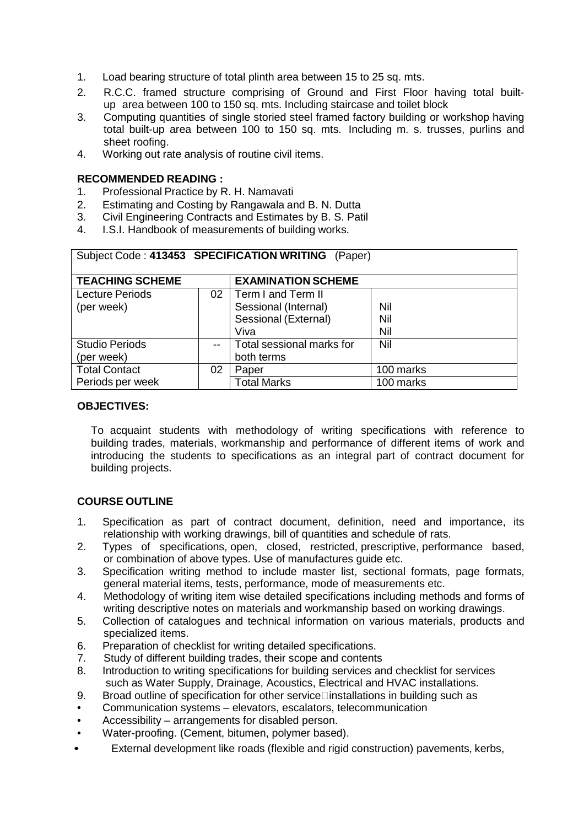- 1. Load bearing structure of total plinth area between 15 to 25 sq. mts.
- 2. R.C.C. framed structure comprising of Ground and First Floor having total builtup area between 100 to 150 sq. mts. Including staircase and toilet block
- 3. Computing quantities of single storied steel framed factory building or workshop having total built-up area between 100 to 150 sq. mts. Including m. s. trusses, purlins and sheet roofing.
- 4. Working out rate analysis of routine civil items.

#### **RECOMMENDED READING :**

- 1. Professional Practice by R. H. Namavati
- 2. Estimating and Costing by Rangawala and B. N. Dutta
- 3. Civil Engineering Contracts and Estimates by B. S. Patil
- 4. I.S.I. Handbook of measurements of building works.

| Subject Code: 413453 SPECIFICATION WRITING<br>(Paper) |    |                                                                            |                        |  |
|-------------------------------------------------------|----|----------------------------------------------------------------------------|------------------------|--|
| <b>TEACHING SCHEME</b>                                |    | <b>EXAMINATION SCHEME</b>                                                  |                        |  |
| <b>Lecture Periods</b><br>(per week)                  | 02 | Term I and Term II<br>Sessional (Internal)<br>Sessional (External)<br>Viva | Nil<br>Nil<br>Nil      |  |
| <b>Studio Periods</b><br>(per week)                   |    | Total sessional marks for<br>both terms                                    | Nil                    |  |
| <b>Total Contact</b><br>Periods per week              | 02 | Paper<br><b>Total Marks</b>                                                | 100 marks<br>100 marks |  |

#### **OBJECTIVES:**

To acquaint students with methodology of writing specifications with reference to building trades, materials, workmanship and performance of different items of work and introducing the students to specifications as an integral part of contract document for building projects.

# **COURSE OUTLINE**

- 1. Specification as part of contract document, definition, need and importance, its relationship with working drawings, bill of quantities and schedule of rats.
- 2. Types of specifications, open, closed, restricted, prescriptive, performance based, or combination of above types. Use of manufactures guide etc.
- 3. Specification writing method to include master list, sectional formats, page formats, general material items, tests, performance, mode of measurements etc.
- 4. Methodology of writing item wise detailed specifications including methods and forms of writing descriptive notes on materials and workmanship based on working drawings.
- 5. Collection of catalogues and technical information on various materials, products and specialized items.
- 6. Preparation of checklist for writing detailed specifications.
- 7. Study of different building trades, their scope and contents
- 8. Introduction to writing specifications for building services and checklist for services such as Water Supply, Drainage, Acoustics, Electrical and HVAC installations.
- 9. Broad outline of specification for other service installations in building such as
- Communication systems elevators, escalators, telecommunication
- Accessibility arrangements for disabled person.
- Water-proofing. (Cement, bitumen, polymer based).
- External development like roads (flexible and rigid construction) pavements, kerbs,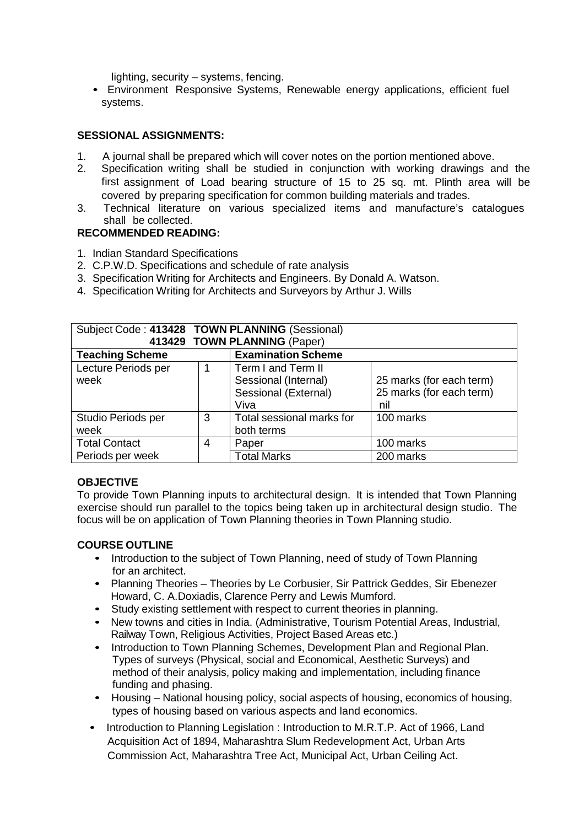lighting, security – systems, fencing.

• Environment Responsive Systems, Renewable energy applications, efficient fuel systems.

#### **SESSIONAL ASSIGNMENTS:**

- 1. A journal shall be prepared which will cover notes on the portion mentioned above.
- 2. Specification writing shall be studied in conjunction with working drawings and the first assignment of Load bearing structure of 15 to 25 sq. mt. Plinth area will be covered by preparing specification for common building materials and trades.
- 3. Technical literature on various specialized items and manufacture's catalogues shall be collected.

#### **RECOMMENDED READING:**

- 1. Indian Standard Specifications
- 2. C.P.W.D. Specifications and schedule of rate analysis
- 3. Specification Writing for Architects and Engineers. By Donald A. Watson.
- 4. Specification Writing for Architects and Surveyors by Arthur J. Wills

| Subject Code: 413428 TOWN PLANNING (Sessional) |   |                              |                          |  |
|------------------------------------------------|---|------------------------------|--------------------------|--|
|                                                |   | 413429 TOWN PLANNING (Paper) |                          |  |
| <b>Teaching Scheme</b>                         |   | <b>Examination Scheme</b>    |                          |  |
| Lecture Periods per                            |   | Term I and Term II           |                          |  |
| week                                           |   | Sessional (Internal)         | 25 marks (for each term) |  |
|                                                |   | Sessional (External)         | 25 marks (for each term) |  |
|                                                |   | Viva                         | nil                      |  |
| Studio Periods per                             | 3 | Total sessional marks for    | 100 marks                |  |
| both terms<br>week                             |   |                              |                          |  |
| <b>Total Contact</b>                           | 4 | Paper                        | 100 marks                |  |
| Periods per week                               |   | <b>Total Marks</b>           | 200 marks                |  |

#### **OBJECTIVE**

To provide Town Planning inputs to architectural design. It is intended that Town Planning exercise should run parallel to the topics being taken up in architectural design studio. The focus will be on application of Town Planning theories in Town Planning studio.

#### **COURSE OUTLINE**

- Introduction to the subject of Town Planning, need of study of Town Planning for an architect.
- Planning Theories Theories by Le Corbusier, Sir Pattrick Geddes, Sir Ebenezer Howard, C. A.Doxiadis, Clarence Perry and Lewis Mumford.
- Study existing settlement with respect to current theories in planning.
- New towns and cities in India. (Administrative, Tourism Potential Areas, Industrial, Railway Town, Religious Activities, Project Based Areas etc.)
- Introduction to Town Planning Schemes, Development Plan and Regional Plan. Types of surveys (Physical, social and Economical, Aesthetic Surveys) and method of their analysis, policy making and implementation, including finance funding and phasing.
- Housing National housing policy, social aspects of housing, economics of housing, types of housing based on various aspects and land economics.
- Introduction to Planning Legislation : Introduction to M.R.T.P. Act of 1966, Land Acquisition Act of 1894, Maharashtra Slum Redevelopment Act, Urban Arts Commission Act, Maharashtra Tree Act, Municipal Act, Urban Ceiling Act.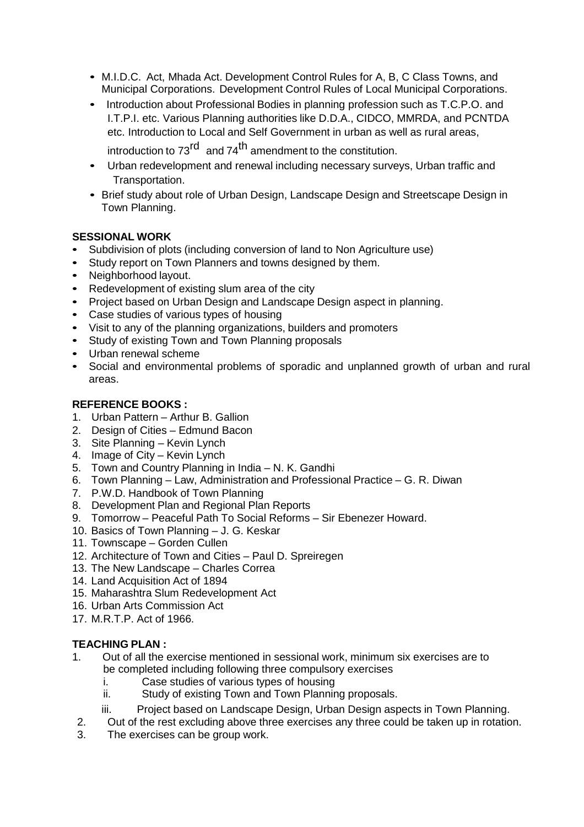- M.I.D.C. Act, Mhada Act. Development Control Rules for A, B, C Class Towns, and Municipal Corporations. Development Control Rules of Local Municipal Corporations.
- Introduction about Professional Bodies in planning profession such as T.C.P.O. and I.T.P.I. etc. Various Planning authorities like D.D.A., CIDCO, MMRDA, and PCNTDA etc. Introduction to Local and Self Government in urban as well as rural areas,

introduction to 73<sup>rd</sup> and 74<sup>th</sup> amendment to the constitution.

- Urban redevelopment and renewal including necessary surveys, Urban traffic and Transportation.
- Brief study about role of Urban Design, Landscape Design and Streetscape Design in Town Planning.

# **SESSIONAL WORK**

- Subdivision of plots (including conversion of land to Non Agriculture use)
- Study report on Town Planners and towns designed by them.
- Neighborhood layout.
- Redevelopment of existing slum area of the city
- Project based on Urban Design and Landscape Design aspect in planning.
- Case studies of various types of housing
- Visit to any of the planning organizations, builders and promoters
- Study of existing Town and Town Planning proposals
- Urban renewal scheme
- Social and environmental problems of sporadic and unplanned growth of urban and rural areas.

# **REFERENCE BOOKS :**

- 1. Urban Pattern Arthur B. Gallion
- 2. Design of Cities Edmund Bacon
- 3. Site Planning Kevin Lynch
- 4. Image of City Kevin Lynch
- 5. Town and Country Planning in India N. K. Gandhi
- 6. Town Planning Law, Administration and Professional Practice G. R. Diwan
- 7. P.W.D. Handbook of Town Planning
- 8. Development Plan and Regional Plan Reports
- 9. Tomorrow Peaceful Path To Social Reforms Sir Ebenezer Howard.
- 10. Basics of Town Planning J. G. Keskar
- 11. Townscape Gorden Cullen
- 12. Architecture of Town and Cities Paul D. Spreiregen
- 13. The New Landscape Charles Correa
- 14. Land Acquisition Act of 1894
- 15. Maharashtra Slum Redevelopment Act
- 16. Urban Arts Commission Act
- 17. M.R.T.P. Act of 1966.

# **TEACHING PLAN :**

- 1. Out of all the exercise mentioned in sessional work, minimum six exercises are to be completed including following three compulsory exercises
	- i. Case studies of various types of housing
	- ii. Study of existing Town and Town Planning proposals.
	- iii. Project based on Landscape Design, Urban Design aspects in Town Planning.
- 2. Out of the rest excluding above three exercises any three could be taken up in rotation.
- 3. The exercises can be group work.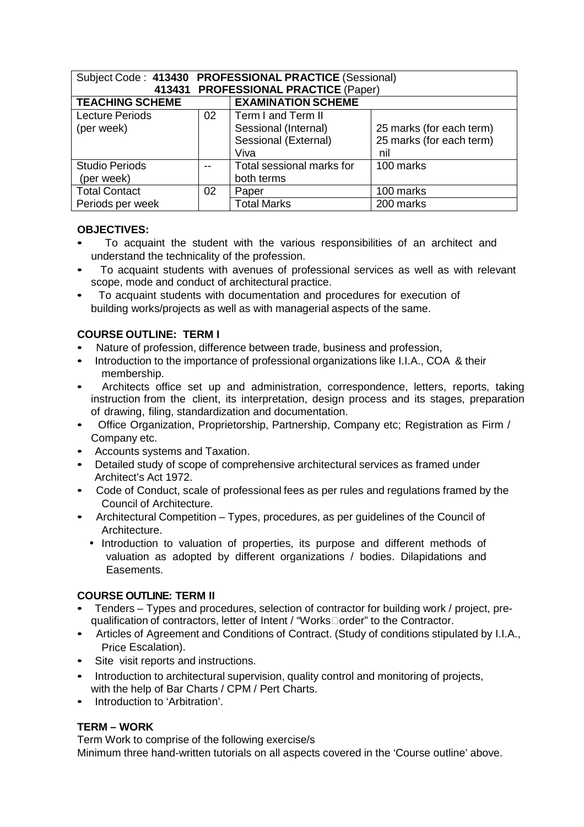| Subject Code: 413430 PROFESSIONAL PRACTICE (Sessional) |                                      |                                                                            |                                                             |  |  |  |
|--------------------------------------------------------|--------------------------------------|----------------------------------------------------------------------------|-------------------------------------------------------------|--|--|--|
| 413431                                                 | <b>PROFESSIONAL PRACTICE (Paper)</b> |                                                                            |                                                             |  |  |  |
| <b>TEACHING SCHEME</b>                                 |                                      | <b>EXAMINATION SCHEME</b>                                                  |                                                             |  |  |  |
| <b>Lecture Periods</b><br>(per week)                   | 02                                   | Term I and Term II<br>Sessional (Internal)<br>Sessional (External)<br>Viva | 25 marks (for each term)<br>25 marks (for each term)<br>nil |  |  |  |
| <b>Studio Periods</b><br>(per week)                    |                                      | Total sessional marks for<br>both terms                                    | 100 marks                                                   |  |  |  |
| <b>Total Contact</b>                                   | 02                                   | Paper                                                                      | 100 marks                                                   |  |  |  |
| Periods per week                                       |                                      | <b>Total Marks</b>                                                         | 200 marks                                                   |  |  |  |

#### **OBJECTIVES:**

- To acquaint the student with the various responsibilities of an architect and understand the technicality of the profession.
- To acquaint students with avenues of professional services as well as with relevant scope, mode and conduct of architectural practice.
- To acquaint students with documentation and procedures for execution of building works/projects as well as with managerial aspects of the same.

# **COURSE OUTLINE: TERM I**

- Nature of profession, difference between trade, business and profession,
- Introduction to the importance of professional organizations like I.I.A., COA & their membership.
- Architects office set up and administration, correspondence, letters, reports, taking instruction from the client, its interpretation, design process and its stages, preparation of drawing, filing, standardization and documentation.
- Office Organization, Proprietorship, Partnership, Company etc; Registration as Firm / Company etc.
- Accounts systems and Taxation.
- Detailed study of scope of comprehensive architectural services as framed under Architect's Act 1972.
- Code of Conduct, scale of professional fees as per rules and regulations framed by the Council of Architecture.
- Architectural Competition Types, procedures, as per guidelines of the Council of Architecture.
	- Introduction to valuation of properties, its purpose and different methods of valuation as adopted by different organizations / bodies. Dilapidations and Easements.

# **COURSE OUTLINE: TERM II**

- Tenders Types and procedures, selection of contractor for building work / project, prequalification of contractors, letter of Intent / "Works order" to the Contractor.
- Articles of Agreement and Conditions of Contract. (Study of conditions stipulated by I.I.A., Price Escalation).
- Site visit reports and instructions.
- Introduction to architectural supervision, quality control and monitoring of projects, with the help of Bar Charts / CPM / Pert Charts.
- Introduction to 'Arbitration'.

# **TERM – WORK**

Term Work to comprise of the following exercise/s Minimum three hand-written tutorials on all aspects covered in the 'Course outline' above.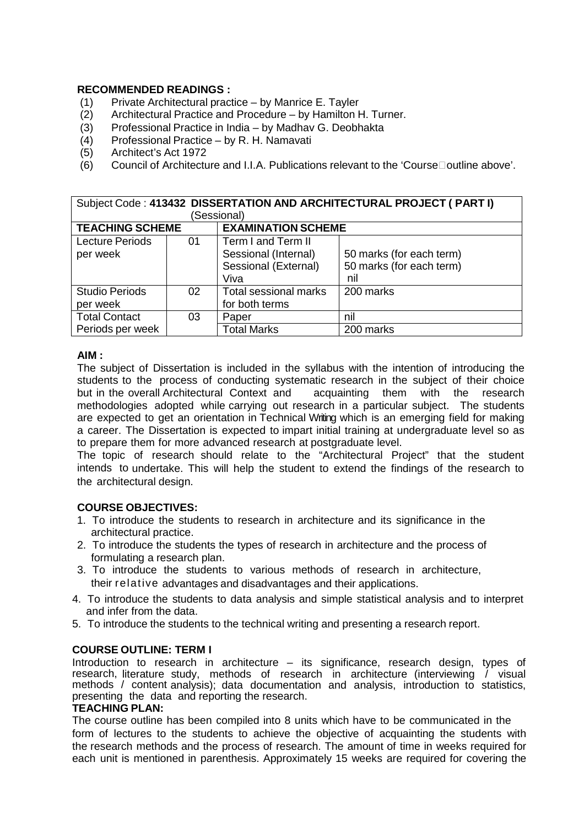#### **RECOMMENDED READINGS :**

- (1) Private Architectural practice by Manrice E. Tayler
- (2) Architectural Practice and Procedure by Hamilton H. Turner.
- (3) Professional Practice in India by Madhav G. Deobhakta
- (4) Professional Practice by R. H. Namavati
- (5) Architect's Act 1972
- (6) Council of Architecture and I.I.A. Publications relevant to the 'Course outline above'.

| Subject Code: 413432 DISSERTATION AND ARCHITECTURAL PROJECT ( PART I) |    |                           |                          |  |
|-----------------------------------------------------------------------|----|---------------------------|--------------------------|--|
|                                                                       |    | (Sessional)               |                          |  |
| <b>TEACHING SCHEME</b>                                                |    | <b>EXAMINATION SCHEME</b> |                          |  |
| <b>Lecture Periods</b>                                                | 01 | Term I and Term II        |                          |  |
| per week                                                              |    | Sessional (Internal)      | 50 marks (for each term) |  |
|                                                                       |    | Sessional (External)      | 50 marks (for each term) |  |
|                                                                       |    | Viva                      | nil                      |  |
| <b>Studio Periods</b>                                                 | 02 | Total sessional marks     | 200 marks                |  |
| per week                                                              |    | for both terms            |                          |  |
| <b>Total Contact</b>                                                  | 03 | Paper                     | nil                      |  |
| Periods per week                                                      |    | <b>Total Marks</b>        | 200 marks                |  |

#### **AIM :**

The subject of Dissertation is included in the syllabus with the intention of introducing the students to the process of conducting systematic research in the subject of their choice but in the overall Architectural Context and acquainting them with the research methodologies adopted while carrying out research in a particular subject. The students are expected to get an orientation in Technical Writing which is an emerging field for making a career. The Dissertation is expected to impart initial training at undergraduate level so as to prepare them for more advanced research at postgraduate level.

The topic of research should relate to the "Architectural Project" that the student intends to undertake. This will help the student to extend the findings of the research to the architectural design.

# **COURSE OBJECTIVES:**

- 1. To introduce the students to research in architecture and its significance in the architectural practice.
- 2. To introduce the students the types of research in architecture and the process of formulating a research plan.
- 3. To introduce the students to various methods of research in architecture, their relative advantages and disadvantages and their applications.
- 4. To introduce the students to data analysis and simple statistical analysis and to interpret and infer from the data.
- 5. To introduce the students to the technical writing and presenting a research report.

#### **COURSE OUTLINE: TERM I**

Introduction to research in architecture – its significance, research design, types of research, literature study, methods of research in architecture (interviewing / visual methods / content analysis); data documentation and analysis, introduction to statistics, presenting the data and reporting the research.

#### **TEACHING PLAN:**

The course outline has been compiled into 8 units which have to be communicated in the form of lectures to the students to achieve the objective of acquainting the students with the research methods and the process of research. The amount of time in weeks required for each unit is mentioned in parenthesis. Approximately 15 weeks are required for covering the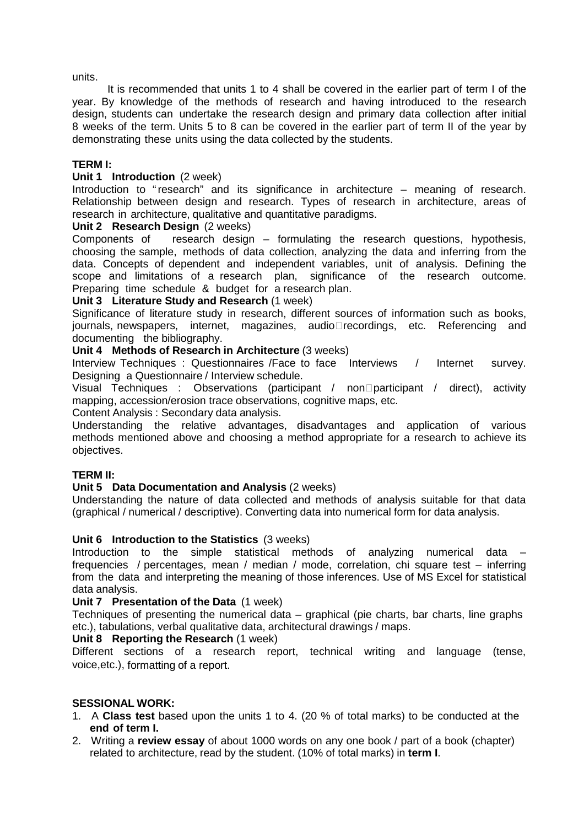units.

It is recommended that units 1 to 4 shall be covered in the earlier part of term I of the year. By knowledge of the methods of research and having introduced to the research design, students can undertake the research design and primary data collection after initial 8 weeks of the term. Units 5 to 8 can be covered in the earlier part of term II of the year by demonstrating these units using the data collected by the students.

#### **TERM I:**

#### **Unit 1 Introduction** (2 week)

Introduction to "research" and its significance in architecture – meaning of research. Relationship between design and research. Types of research in architecture, areas of research in architecture, qualitative and quantitative paradigms.

#### **Unit 2 Research Design** (2 weeks)

Components of research design – formulating the research questions, hypothesis, choosing the sample, methods of data collection, analyzing the data and inferring from the data. Concepts of dependent and independent variables, unit of analysis. Defining the scope and limitations of a research plan, significance of the research outcome. Preparing time schedule & budget for a research plan.

#### **Unit 3 Literature Study and Research** (1 week)

Significance of literature study in research, different sources of information such as books, journals, newspapers, internet, magazines, audio recordings, etc. Referencing and documenting the bibliography.

#### **Unit 4 Methods of Research in Architecture** (3 weeks)

Interview Techniques : Questionnaires /Face to face Interviews / Internet survey. Designing a Questionnaire / Interview schedule.

Visual Techniques : Observations (participant / nonparticipant / direct), activity mapping, accession/erosion trace observations, cognitive maps, etc.

Content Analysis : Secondary data analysis.

Understanding the relative advantages, disadvantages and application of various methods mentioned above and choosing a method appropriate for a research to achieve its objectives.

#### **TERM II:**

#### **Unit 5 Data Documentation and Analysis** (2 weeks)

Understanding the nature of data collected and methods of analysis suitable for that data (graphical / numerical / descriptive). Converting data into numerical form for data analysis.

#### **Unit 6 Introduction to the Statistics** (3 weeks)

Introduction to the simple statistical methods of analyzing numerical data frequencies / percentages, mean / median / mode, correlation, chi square test – inferring from the data and interpreting the meaning of those inferences. Use of MS Excel for statistical data analysis.

#### **Unit 7 Presentation of the Data** (1 week)

Techniques of presenting the numerical data – graphical (pie charts, bar charts, line graphs etc.), tabulations, verbal qualitative data, architectural drawings / maps.

#### **Unit 8 Reporting the Research** (1 week)

Different sections of a research report, technical writing and language (tense, voice,etc.), formatting of a report.

#### **SESSIONAL WORK:**

- 1. A **Class test** based upon the units 1 to 4. (20 % of total marks) to be conducted at the **end of term I.**
- 2. Writing a **review essay** of about 1000 words on any one book / part of a book (chapter) related to architecture, read by the student. (10% of total marks) in **term I**.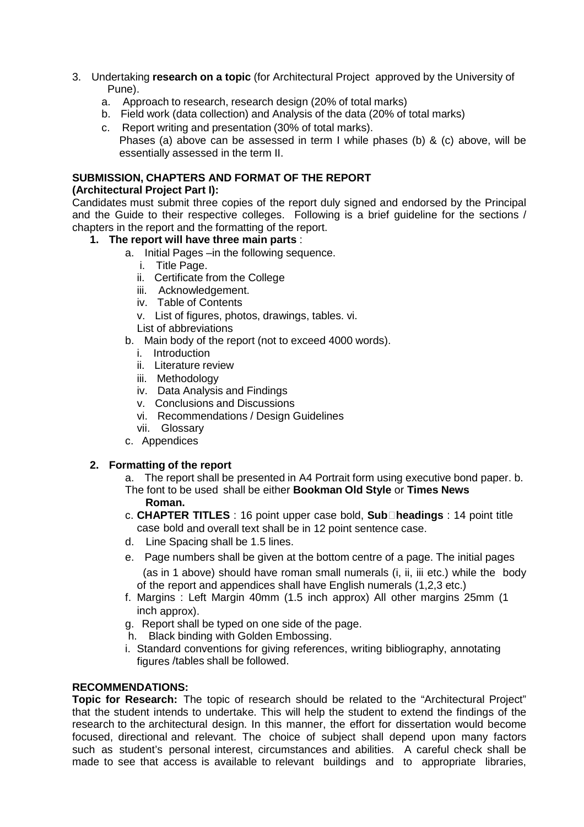- 3. Undertaking **research on a topic** (for Architectural Project approved by the University of Pune).
	- a. Approach to research, research design (20% of total marks)
	- b. Field work (data collection) and Analysis of the data (20% of total marks)
	- c. Report writing and presentation (30% of total marks).
	- Phases (a) above can be assessed in term I while phases (b) & (c) above, will be essentially assessed in the term II.

# **SUBMISSION, CHAPTERS AND FORMAT OF THE REPORT**

# **(Architectural Project Part I):**

Candidates must submit three copies of the report duly signed and endorsed by the Principal and the Guide to their respective colleges. Following is a brief guideline for the sections / chapters in the report and the formatting of the report.

# **1. The report will have three main parts** :

- a. Initial Pages –in the following sequence.
	- i. Title Page.
	- ii. Certificate from the College
	- iii. Acknowledgement.
	- iv. Table of Contents
	- v. List of figures, photos, drawings, tables. vi.
	- List of abbreviations
- b. Main body of the report (not to exceed 4000 words).
	- i. Introduction
	- ii. Literature review
	- iii. Methodology
	- iv. Data Analysis and Findings
	- v. Conclusions and Discussions
	- vi. Recommendations / Design Guidelines
	- vii. Glossary
- c. Appendices

# **2. Formatting of the report**

- a. The report shall be presented in A4 Portrait form using executive bond paper. b. The font to be used shall be either **Bookman Old Style** or **Times News Roman.**
- c. **CHAPTER TITLES** : 16 point upper case bold, **Subheadings** : 14 point title case bold and overall text shall be in 12 point sentence case.
- d. Line Spacing shall be 1.5 lines.
- e. Page numbers shall be given at the bottom centre of a page. The initial pages (as in 1 above) should have roman small numerals (i, ii, iii etc.) while the body of the report and appendices shall have English numerals (1,2,3 etc.)
- f. Margins : Left Margin 40mm (1.5 inch approx) All other margins 25mm (1 inch approx).
- g. Report shall be typed on one side of the page.
- h. Black binding with Golden Embossing.
- i. Standard conventions for giving references, writing bibliography, annotating figures /tables shall be followed.

#### **RECOMMENDATIONS:**

**Topic for Research:** The topic of research should be related to the "Architectural Project" that the student intends to undertake. This will help the student to extend the findings of the research to the architectural design. In this manner, the effort for dissertation would become focused, directional and relevant. The choice of subject shall depend upon many factors such as student's personal interest, circumstances and abilities. A careful check shall be made to see that access is available to relevant buildings and to appropriate libraries,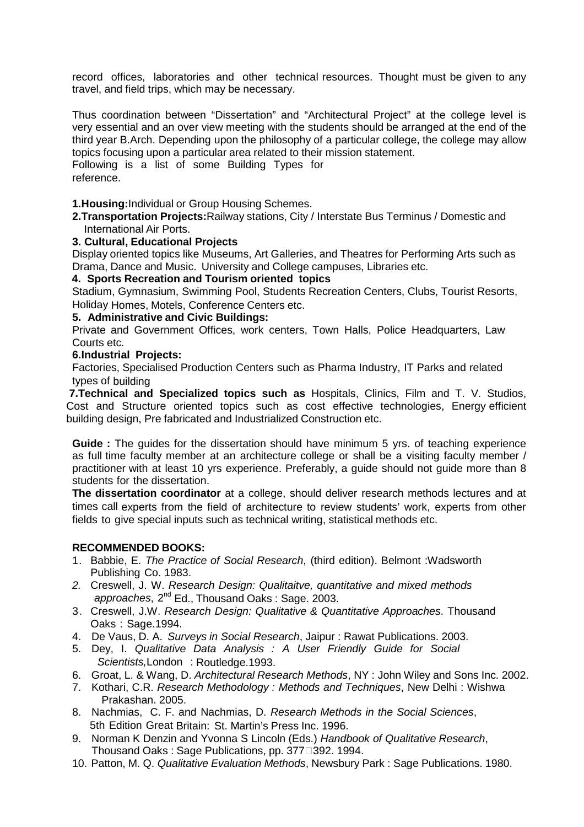record offices, laboratories and other technical resources. Thought must be given to any travel, and field trips, which may be necessary.

Thus coordination between "Dissertation" and "Architectural Project" at the college level is very essential and an over view meeting with the students should be arranged at the end of the third year B.Arch. Depending upon the philosophy of a particular college, the college may allow topics focusing upon a particular area related to their mission statement. Following is a list of some Building Types for reference.

**1.Housing:**Individual or Group Housing Schemes.

**2.Transportation Projects:**Railway stations, City / Interstate Bus Terminus / Domestic and International Air Ports.

#### **3. Cultural, Educational Projects**

Display oriented topics like Museums, Art Galleries, and Theatres for Performing Arts such as Drama, Dance and Music. University and College campuses, Libraries etc.

#### **4. Sports Recreation and Tourism oriented topics**

Stadium, Gymnasium, Swimming Pool, Students Recreation Centers, Clubs, Tourist Resorts, Holiday Homes, Motels, Conference Centers etc.

#### **5. Administrative and Civic Buildings:**

Private and Government Offices, work centers, Town Halls, Police Headquarters, Law Courts etc.

#### **6.Industrial Projects:**

Factories, Specialised Production Centers such as Pharma Industry, IT Parks and related types of building

**7.Technical and Specialized topics such as** Hospitals, Clinics, Film and T. V. Studios, Cost and Structure oriented topics such as cost effective technologies, Energy efficient building design, Pre fabricated and Industrialized Construction etc.

**Guide :** The guides for the dissertation should have minimum 5 yrs. of teaching experience as full time faculty member at an architecture college or shall be a visiting faculty member / practitioner with at least 10 yrs experience. Preferably, a guide should not guide more than 8 students for the dissertation.

**The dissertation coordinator** at a college, should deliver research methods lectures and at times call experts from the field of architecture to review students' work, experts from other fields to give special inputs such as technical writing, statistical methods etc.

#### **RECOMMENDED BOOKS:**

- 1. Babbie, E. The Practice of Social Research, (third edition). Belmont :Wadsworth Publishing Co. 1983.
- 2. Creswell, J. W. Research Design: Qualitaitve, quantitative and mixed methods approaches, 2<sup>nd</sup> Ed., Thousand Oaks : Sage, 2003.
- 3. Creswell, J.W. Research Design: Qualitative & Quantitative Approaches. Thousand Oaks : Sage.1994.
- 4. De Vaus, D. A. Surveys in Social Research, Jaipur : Rawat Publications. 2003.
- 5. Dey, I. Qualitative Data Analysis : A User Friendly Guide for Social Scientists,London : Routledge.1993.
- 6. Groat, L. & Wang, D. Architectural Research Methods, NY : John Wiley and Sons Inc. 2002.
- 7. Kothari, C.R. Research Methodology : Methods and Techniques, New Delhi : Wishwa Prakashan. 2005.
- 8. Nachmias, C. F. and Nachmias, D. Research Methods in the Social Sciences, 5th Edition Great Britain: St. Martin's Press Inc. 1996.
- 9. Norman K Denzin and Yvonna S Lincoln (Eds.) Handbook of Qualitative Research, Thousand Oaks: Sage Publications, pp. 377 392. 1994.
- 10. Patton, M. Q. Qualitative Evaluation Methods, Newsbury Park : Sage Publications. 1980.